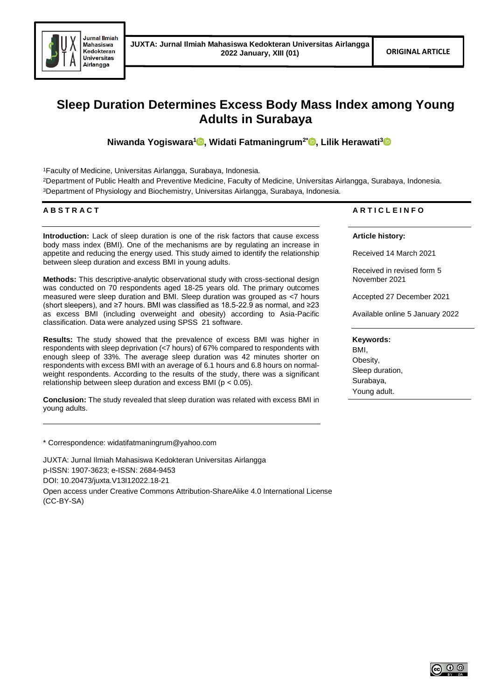

# **Sleep Duration Determines Excess Body Mass Index among Young Adults in Surabaya**

**Niwanda Yogiswara<sup>1</sup> [,](https://orcid.org/0000-0001-6371-0411) Widati Fatmaningrum2\* [,](https://orcid.org/0000-0002-6697-5906) Lilik Herawati<sup>3</sup>**

<sup>1</sup>Faculty of Medicine, Universitas Airlangga, Surabaya, Indonesia.

<sup>2</sup>Department of Public Health and Preventive Medicine, Faculty of Medicine, Universitas Airlangga, Surabaya, Indonesia. <sup>3</sup>Department of Physiology and Biochemistry, Universitas Airlangga, Surabaya, Indonesia.

# **A B S T R A C T**

**Introduction:** Lack of sleep duration is one of the risk factors that cause excess body mass index (BMI). One of the mechanisms are by regulating an increase in appetite and reducing the energy used. This study aimed to identify the relationship between sleep duration and excess BMI in young adults.

**Methods:** This descriptive-analytic observational study with cross-sectional design was conducted on 70 respondents aged 18-25 years old. The primary outcomes measured were sleep duration and BMI. Sleep duration was grouped as <7 hours (short sleepers), and ≥7 hours. BMI was classified as 18.5-22.9 as normal, and ≥23 as excess BMI (including overweight and obesity) according to Asia-Pacific classification. Data were analyzed using SPSS 21 software.

**Results:** The study showed that the prevalence of excess BMI was higher in respondents with sleep deprivation (<7 hours) of 67% compared to respondents with enough sleep of 33%. The average sleep duration was 42 minutes shorter on respondents with excess BMI with an average of 6.1 hours and 6.8 hours on normalweight respondents. According to the results of the study, there was a significant relationship between sleep duration and excess BMI ( $p < 0.05$ ).

**Conclusion:** The study revealed that sleep duration was related with excess BMI in young adults.

\* Correspondence: widatifatmaningrum@yahoo.com

JUXTA: Jurnal Ilmiah Mahasiswa Kedokteran Universitas Airlangga p-ISSN: 1907-3623; e-ISSN: 2684-9453 DOI: 10.20473/juxta.V13I12022.18-21 Open access under Creative Commons Attribution-ShareAlike 4.0 International License (CC-BY-SA)

# **A R T I C L E I N F O**

## **Article history:**

Received 14 March 2021

Received in revised form 5 November 2021

Accepted 27 December 2021

Available online 5 January 2022

## **Keywords:**

BMI, Obesity, Sleep duration, Surabaya, Young adult.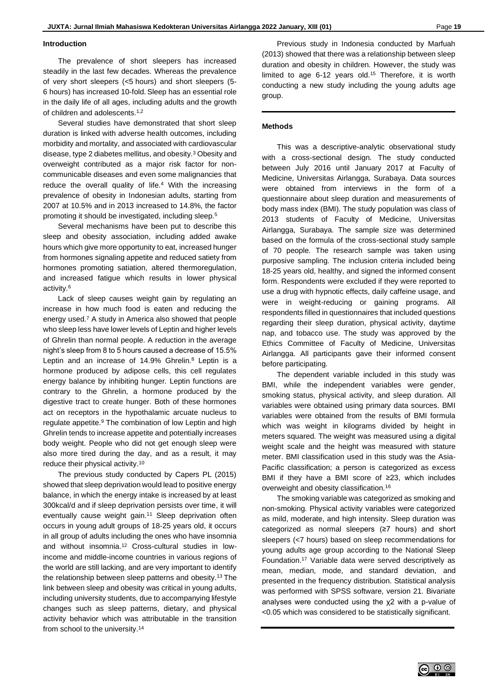#### **Introduction**

The prevalence of short sleepers has increased steadily in the last few decades. Whereas the prevalence of very short sleepers (<5 hours) and short sleepers (5- 6 hours) has increased 10-fold. Sleep has an essential role in the daily life of all ages, including adults and the growth of children and adolescents.<sup>1,2</sup>

Several studies have demonstrated that short sleep duration is linked with adverse health outcomes, including morbidity and mortality, and associated with cardiovascular disease, type 2 diabetes mellitus, and obesity.<sup>3</sup> Obesity and overweight contributed as a major risk factor for noncommunicable diseases and even some malignancies that reduce the overall quality of life.<sup>4</sup> With the increasing prevalence of obesity in Indonesian adults, starting from 2007 at 10.5% and in 2013 increased to 14.8%, the factor promoting it should be investigated, including sleep.<sup>5</sup>

Several mechanisms have been put to describe this sleep and obesity association, including added awake hours which give more opportunity to eat, increased hunger from hormones signaling appetite and reduced satiety from hormones promoting satiation, altered thermoregulation, and increased fatigue which results in lower physical activity.<sup>6</sup>

Lack of sleep causes weight gain by regulating an increase in how much food is eaten and reducing the energy used.<sup>7</sup> A study in America also showed that people who sleep less have lower levels of Leptin and higher levels of Ghrelin than normal people. A reduction in the average night's sleep from 8 to 5 hours caused a decrease of 15.5% Leptin and an increase of 14.9% Ghrelin.<sup>8</sup> Leptin is a hormone produced by adipose cells, this cell regulates energy balance by inhibiting hunger. Leptin functions are contrary to the Ghrelin, a hormone produced by the digestive tract to create hunger. Both of these hormones act on receptors in the hypothalamic arcuate nucleus to regulate appetite.<sup>9</sup> The combination of low Leptin and high Ghrelin tends to increase appetite and potentially increases body weight. People who did not get enough sleep were also more tired during the day, and as a result, it may reduce their physical activity.<sup>10</sup>

The previous study conducted by Capers PL (2015) showed that sleep deprivation would lead to positive energy balance, in which the energy intake is increased by at least 300kcal/d and if sleep deprivation persists over time, it will eventually cause weight gain.<sup>11</sup> Sleep deprivation often occurs in young adult groups of 18-25 years old, it occurs in all group of adults including the ones who have insomnia and without insomnia.<sup>12</sup> Cross-cultural studies in lowincome and middle-income countries in various regions of the world are still lacking, and are very important to identify the relationship between sleep patterns and obesity.<sup>13</sup> The link between sleep and obesity was critical in young adults, including university students, due to accompanying lifestyle changes such as sleep patterns, dietary, and physical activity behavior which was attributable in the transition from school to the university.<sup>14</sup>

Previous study in Indonesia conducted by Marfuah (2013) showed that there was a relationship between sleep duration and obesity in children. However, the study was limited to age 6-12 years old.<sup>15</sup> Therefore, it is worth conducting a new study including the young adults age group.

### **Methods**

This was a descriptive-analytic observational study with a cross-sectional design. The study conducted between July 2016 until January 2017 at Faculty of Medicine, Universitas Airlangga, Surabaya. Data sources were obtained from interviews in the form of a questionnaire about sleep duration and measurements of body mass index (BMI). The study population was class of 2013 students of Faculty of Medicine, Universitas Airlangga, Surabaya. The sample size was determined based on the formula of the cross-sectional study sample of 70 people. The research sample was taken using purposive sampling. The inclusion criteria included being 18-25 years old, healthy, and signed the informed consent form. Respondents were excluded if they were reported to use a drug with hypnotic effects, daily caffeine usage, and were in weight-reducing or gaining programs. All respondents filled in questionnaires that included questions regarding their sleep duration, physical activity, daytime nap, and tobacco use. The study was approved by the Ethics Committee of Faculty of Medicine, Universitas Airlangga. All participants gave their informed consent before participating.

The dependent variable included in this study was BMI, while the independent variables were gender, smoking status, physical activity, and sleep duration. All variables were obtained using primary data sources. BMI variables were obtained from the results of BMI formula which was weight in kilograms divided by height in meters squared. The weight was measured using a digital weight scale and the height was measured with stature meter. BMI classification used in this study was the Asia-Pacific classification; a person is categorized as excess BMI if they have a BMI score of ≥23, which includes overweight and obesity classification.<sup>16</sup>

The smoking variable was categorized as smoking and non-smoking. Physical activity variables were categorized as mild, moderate, and high intensity. Sleep duration was categorized as normal sleepers (≥7 hours) and short sleepers (<7 hours) based on sleep recommendations for young adults age group according to the National Sleep Foundation.<sup>17</sup> Variable data were served descriptively as mean, median, mode, and standard deviation, and presented in the frequency distribution. Statistical analysis was performed with SPSS software, version 21. Bivariate analyses were conducted using the χ2 with a p-value of <0.05 which was considered to be statistically significant.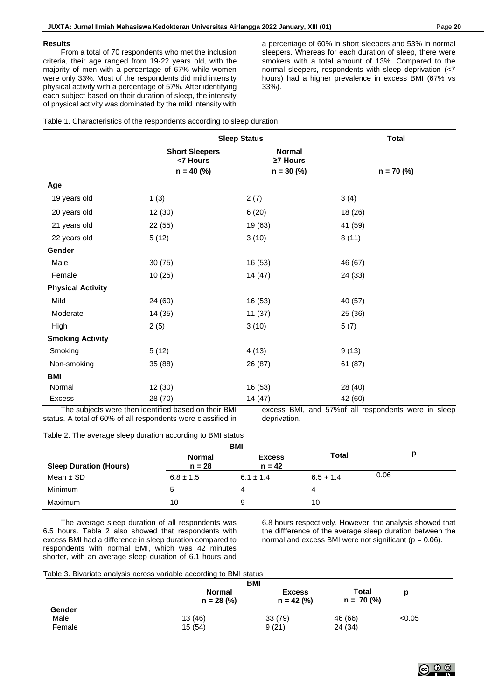#### **Results**

From a total of 70 respondents who met the inclusion criteria, their age ranged from 19-22 years old, with the majority of men with a percentage of 67% while women were only 33%. Most of the respondents did mild intensity physical activity with a percentage of 57%. After identifying each subject based on their duration of sleep, the intensity of physical activity was dominated by the mild intensity with

a percentage of 60% in short sleepers and 53% in normal sleepers. Whereas for each duration of sleep, there were smokers with a total amount of 13%. Compared to the normal sleepers, respondents with sleep deprivation (<7 hours) had a higher prevalence in excess BMI (67% vs 33%).

| Table 1. Characteristics of the respondents according to sleep duration |  |  |  |
|-------------------------------------------------------------------------|--|--|--|
|                                                                         |  |  |  |

|                          |                                                   | <b>Sleep Status</b>                       | <b>Total</b> |
|--------------------------|---------------------------------------------------|-------------------------------------------|--------------|
|                          | <b>Short Sleepers</b><br><7 Hours<br>$n = 40$ (%) | <b>Normal</b><br>≥7 Hours<br>$n = 30$ (%) | $n = 70$ (%) |
| Age                      |                                                   |                                           |              |
| 19 years old             | 1(3)                                              | 2(7)                                      | 3(4)         |
| 20 years old             | 12(30)                                            | 6(20)                                     | 18 (26)      |
| 21 years old             | 22(55)                                            | 19 (63)                                   | 41 (59)      |
| 22 years old             | 5(12)                                             | 3(10)                                     | 8(11)        |
| Gender                   |                                                   |                                           |              |
| Male                     | 30(75)                                            | 16 (53)                                   | 46 (67)      |
| Female                   | 10(25)                                            | 14 (47)                                   | 24 (33)      |
| <b>Physical Activity</b> |                                                   |                                           |              |
| Mild                     | 24 (60)                                           | 16 (53)                                   | 40 (57)      |
| Moderate                 | 14(35)                                            | 11(37)                                    | 25 (36)      |
| High                     | 2(5)                                              | 3(10)                                     | 5(7)         |
| <b>Smoking Activity</b>  |                                                   |                                           |              |
| Smoking                  | 5(12)                                             | 4(13)                                     | 9(13)        |
| Non-smoking              | 35 (88)                                           | 26 (87)                                   | 61 (87)      |
| <b>BMI</b>               |                                                   |                                           |              |
| Normal                   | 12(30)                                            | 16 (53)                                   | 28 (40)      |
| <b>Excess</b>            | 28 (70)                                           | 14(47)                                    | 42 (60)      |

The subjects were then identified based on their BMI status. A total of 60% of all respondents were classified in

excess BMI, and 57%of all respondents were in sleep deprivation.

## Table 2. The average sleep duration according to BMI status

|                               | <b>BMI</b>         |                           |             |      |
|-------------------------------|--------------------|---------------------------|-------------|------|
| <b>Sleep Duration (Hours)</b> | Normal<br>$n = 28$ | <b>Excess</b><br>$n = 42$ | Total       |      |
| Mean $\pm$ SD                 | $6.8 \pm 1.5$      | $6.1 \pm 1.4$             | $6.5 + 1.4$ | 0.06 |
| Minimum                       | b                  | 4                         | 4           |      |
| Maximum                       | 10                 | 9                         | 10          |      |

The average sleep duration of all respondents was 6.5 hours. Table 2 also showed that respondents with excess BMI had a difference in sleep duration compared to respondents with normal BMI, which was 42 minutes shorter, with an average sleep duration of 6.1 hours and

6.8 hours respectively. However, the analysis showed that the diffference of the average sleep duration between the normal and excess BMI were not significant ( $p = 0.06$ ).

#### Table 3. Bivariate analysis across variable according to BMI status

|                          |                               | <b>BMI</b>                    |                       |        |
|--------------------------|-------------------------------|-------------------------------|-----------------------|--------|
|                          | <b>Normal</b><br>$n = 28$ (%) | <b>Excess</b><br>$n = 42$ (%) | Total<br>$n = 70$ (%) | p      |
| Gender<br>Male<br>Female | 13 (46)<br>15(54)             | 33 (79)<br>9(21)              | 46 (66)<br>24 (34)    | < 0.05 |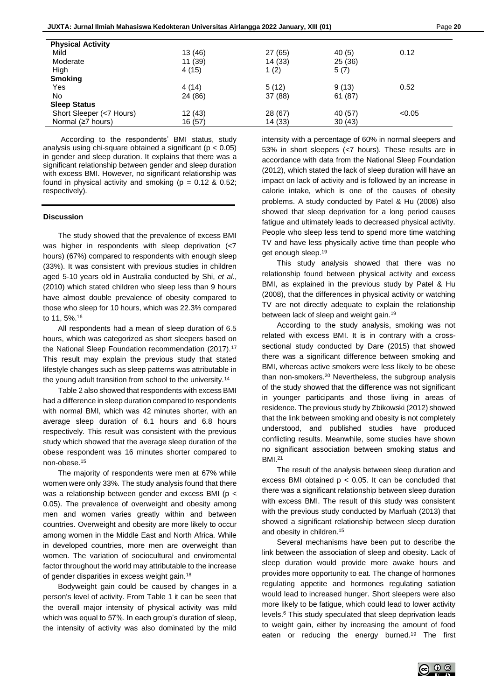| <b>Physical Activity</b> |         |         |         |        |
|--------------------------|---------|---------|---------|--------|
| Mild                     | 13 (46) | 27 (65) | 40 (5)  | 0.12   |
| Moderate                 | 11 (39) | 14(33)  | 25 (36) |        |
| High                     | 4 (15)  | 1(2)    | 5(7)    |        |
| <b>Smoking</b>           |         |         |         |        |
| Yes                      | 4(14)   | 5(12)   | 9(13)   | 0.52   |
| No.                      | 24 (86) | 37 (88) | 61 (87) |        |
| <b>Sleep Status</b>      |         |         |         |        |
| Short Sleeper (<7 Hours) | 12(43)  | 28(67)  | 40 (57) | < 0.05 |
| Normal ( $\geq$ 7 hours) | 16 (57) | 14(33)  | 30(43)  |        |

According to the respondents' BMI status, study analysis using chi-square obtained a significant ( $p < 0.05$ ) in gender and sleep duration. It explains that there was a significant relationship between gender and sleep duration with excess BMI. However, no significant relationship was found in physical activity and smoking ( $p = 0.12$  & 0.52; respectively).

## **Discussion**

The study showed that the prevalence of excess BMI was higher in respondents with sleep deprivation (<7 hours) (67%) compared to respondents with enough sleep (33%). It was consistent with previous studies in children aged 5-10 years old in Australia conducted by Shi, *et al*., (2010) which stated children who sleep less than 9 hours have almost double prevalence of obesity compared to those who sleep for 10 hours, which was 22.3% compared to 11, 5%.<sup>16</sup>

All respondents had a mean of sleep duration of 6.5 hours, which was categorized as short sleepers based on the National Sleep Foundation recommendation (2017).<sup>17</sup> This result may explain the previous study that stated lifestyle changes such as sleep patterns was attributable in the young adult transition from school to the university.<sup>14</sup>

Table 2 also showed that respondents with excess BMI had a difference in sleep duration compared to respondents with normal BMI, which was 42 minutes shorter, with an average sleep duration of 6.1 hours and 6.8 hours respectively. This result was consistent with the previous study which showed that the average sleep duration of the obese respondent was 16 minutes shorter compared to non-obese.<sup>15</sup>

The majority of respondents were men at 67% while women were only 33%. The study analysis found that there was a relationship between gender and excess BMI (p < 0.05). The prevalence of overweight and obesity among men and women varies greatly within and between countries. Overweight and obesity are more likely to occur among women in the Middle East and North Africa. While in developed countries, more men are overweight than women. The variation of sociocultural and enviromental factor throughout the world may attributable to the increase of gender disparities in excess weight gain.<sup>18</sup>

Bodyweight gain could be caused by changes in a person's level of activity. From Table 1 it can be seen that the overall major intensity of physical activity was mild which was equal to 57%. In each group's duration of sleep, the intensity of activity was also dominated by the mild intensity with a percentage of 60% in normal sleepers and 53% in short sleepers (<7 hours). These results are in accordance with data from the National Sleep Foundation (2012), which stated the lack of sleep duration will have an impact on lack of activity and is followed by an increase in calorie intake, which is one of the causes of obesity problems. A study conducted by Patel & Hu (2008) also showed that sleep deprivation for a long period causes fatigue and ultimately leads to decreased physical activity. People who sleep less tend to spend more time watching TV and have less physically active time than people who get enough sleep. 19

This study analysis showed that there was no relationship found between physical activity and excess BMI, as explained in the previous study by Patel & Hu (2008), that the differences in physical activity or watching TV are not directly adequate to explain the relationship between lack of sleep and weight gain. 19

According to the study analysis, smoking was not related with excess BMI. It is in contrary with a crosssectional study conducted by Dare (2015) that showed there was a significant difference between smoking and BMI, whereas active smokers were less likely to be obese than non-smokers.<sup>20</sup> Nevertheless, the subgroup analysis of the study showed that the difference was not significant in younger participants and those living in areas of residence. The previous study by Zbikowski (2012) showed that the link between smoking and obesity is not completely understood, and published studies have produced conflicting results. Meanwhile, some studies have shown no significant association between smoking status and BMI.<sup>21</sup>

The result of the analysis between sleep duration and excess BMI obtained  $p < 0.05$ . It can be concluded that there was a significant relationship between sleep duration with excess BMI. The result of this study was consistent with the previous study conducted by Marfuah (2013) that showed a significant relationship between sleep duration and obesity in children.<sup>15</sup>

Several mechanisms have been put to describe the link between the association of sleep and obesity. Lack of sleep duration would provide more awake hours and provides more opportunity to eat. The change of hormones regulating appetite and hormones regulating satiation would lead to increased hunger. Short sleepers were also more likely to be fatigue, which could lead to lower activity levels.<sup>6</sup> This study speculated that sleep deprivation leads to weight gain, either by increasing the amount of food eaten or reducing the energy burned.<sup>19</sup> The first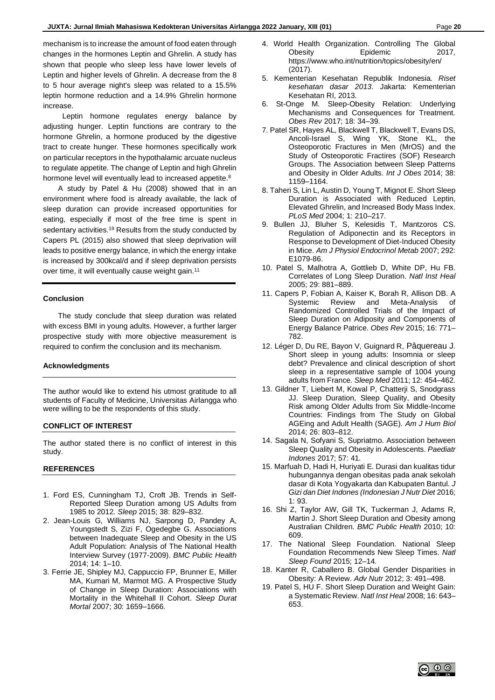mechanism is to increase the amount of food eaten through changes in the hormones Leptin and Ghrelin. A study has shown that people who sleep less have lower levels of Leptin and higher levels of Ghrelin. A decrease from the 8 to 5 hour average night's sleep was related to a 15.5% leptin hormone reduction and a 14.9% Ghrelin hormone increase.

 Leptin hormone regulates energy balance by adjusting hunger. Leptin functions are contrary to the hormone Ghrelin, a hormone produced by the digestive tract to create hunger. These hormones specifically work on particular receptors in the hypothalamic arcuate nucleus to regulate appetite. The change of Leptin and high Ghrelin hormone level will eventually lead to increased appetite.<sup>8</sup>

A study by Patel & Hu (2008) showed that in an environment where food is already available, the lack of sleep duration can provide increased opportunities for eating, especially if most of the free time is spent in sedentary activities.<sup>19</sup> Results from the study conducted by Capers PL (2015) also showed that sleep deprivation will leads to positive energy balance, in which the energy intake is increased by 300kcal/d and if sleep deprivation persists over time, it will eventually cause weight gain.<sup>11</sup>

### **Conclusion**

The study conclude that sleep duration was related with excess BMI in young adults. However, a further larger prospective study with more objective measurement is required to confirm the conclusion and its mechanism.

#### **Acknowledgments**

The author would like to extend his utmost gratitude to all students of Faculty of Medicine, Universitas Airlangga who were willing to be the respondents of this study.

#### **CONFLICT OF INTEREST**

The author stated there is no conflict of interest in this study.

#### **REFERENCES**

- 1. Ford ES, Cunningham TJ, Croft JB. Trends in Self-Reported Sleep Duration among US Adults from 1985 to 2012. *Sleep* 2015; 38: 829–832.
- 2. Jean-Louis G, Williams NJ, Sarpong D, Pandey A, Youngstedt S, Zizi F, Ogedegbe G. Associations between Inadequate Sleep and Obesity in the US Adult Population: Analysis of The National Health Interview Survey (1977-2009). *BMC Public Health* 2014; 14: 1–10.
- 3. Ferrie JE, Shipley MJ, Cappuccio FP, Brunner E, Miller MA, Kumari M, Marmot MG. A Prospective Study of Change in Sleep Duration: Associations with Mortality in the Whitehall II Cohort. *Sleep Durat Mortal* 2007; 30: 1659–1666.
- 4. World Health Organization. Controlling The Global Obesity **Epidemic** 2017 https://www.who.int/nutrition/topics/obesity/en/ (2017).
- 5. Kementerian Kesehatan Republik Indonesia. *Riset kesehatan dasar 2013*. Jakarta: Kementerian Kesehatan RI, 2013.
- 6. St-Onge M. Sleep-Obesity Relation: Underlying Mechanisms and Consequences for Treatment. *Obes Rev* 2017; 18: 34–39.
- 7. Patel SR, Hayes AL, Blackwell T, Blackwell T, Evans DS, Ancoli-Israel S, Wing YK, Stone KL, the Osteoporotic Fractures in Men (MrOS) and the Study of Osteoporotic Fractires (SOF) Research Groups. The Association between Sleep Patterns and Obesity in Older Adults. *Int J Obes* 2014; 38: 1159–1164.
- 8. Taheri S, Lin L, Austin D, Young T, Mignot E. Short Sleep Duration is Associated with Reduced Leptin, Elevated Ghrelin, and Increased Body Mass Index. *PLoS Med* 2004; 1: 210–217.
- 9. Bullen JJ, Bluher S, Kelesidis T, Mantzoros CS. Regulation of Adiponectin and its Receptors in Response to Development of Diet-Induced Obesity in Mice. *Am J Physiol Endocrinol Metab* 2007; 292: E1079-86.
- 10. Patel S, Malhotra A, Gottlieb D, White DP, Hu FB. Correlates of Long Sleep Duration. *Natl Inst Heal* 2005; 29: 881–889.
- 11. Capers P, Fobian A, Kaiser K, Borah R, Allison DB. A Systemic Review and Meta-Analysis of Randomized Controlled Trials of the Impact of Sleep Duration on Adiposity and Components of Energy Balance Patrice. *Obes Rev* 2015; 16: 771– 782.
- 12. Léger D, Du RE, Bayon V, Guignard R, Pâquereau J. Short sleep in young adults: Insomnia or sleep debt? Prevalence and clinical description of short sleep in a representative sample of 1004 young adults from France. *Sleep Med* 2011; 12: 454–462.
- 13. Gildner T, Liebert M, Kowal P, Chatterji S, Snodgrass JJ. Sleep Duration, Sleep Quality, and Obesity Risk among Older Adults from Six Middle-Income Countries: Findings from The Study on Global AGEing and Adult Health (SAGE). *Am J Hum Biol* 2014; 26: 803–812.
- 14. Sagala N, Sofyani S, Supriatmo. Association between Sleep Quality and Obesity in Adolescents. *Paediatr Indones* 2017; 57: 41.
- 15. Marfuah D, Hadi H, Huriyati E. Durasi dan kualitas tidur hubungannya dengan obesitas pada anak sekolah dasar di Kota Yogyakarta dan Kabupaten Bantul. *J Gizi dan Diet Indones (Indonesian J Nutr Diet* 2016; 1: 93.
- 16. Shi Z, Taylor AW, Gill TK, Tuckerman J, Adams R, Martin J. Short Sleep Duration and Obesity among Australian Children. *BMC Public Health* 2010; 10: 609.
- 17. The National Sleep Foundation. National Sleep Foundation Recommends New Sleep Times. *Natl Sleep Found* 2015; 12–14.
- 18. Kanter R, Caballero B. Global Gender Disparities in Obesity: A Review. *Adv Nutr* 2012; 3: 491–498.
- 19. Patel S, HU F. Short Sleep Duration and Weight Gain: a Systematic Review. *Natl Inst Heal* 2008; 16: 643– 653.